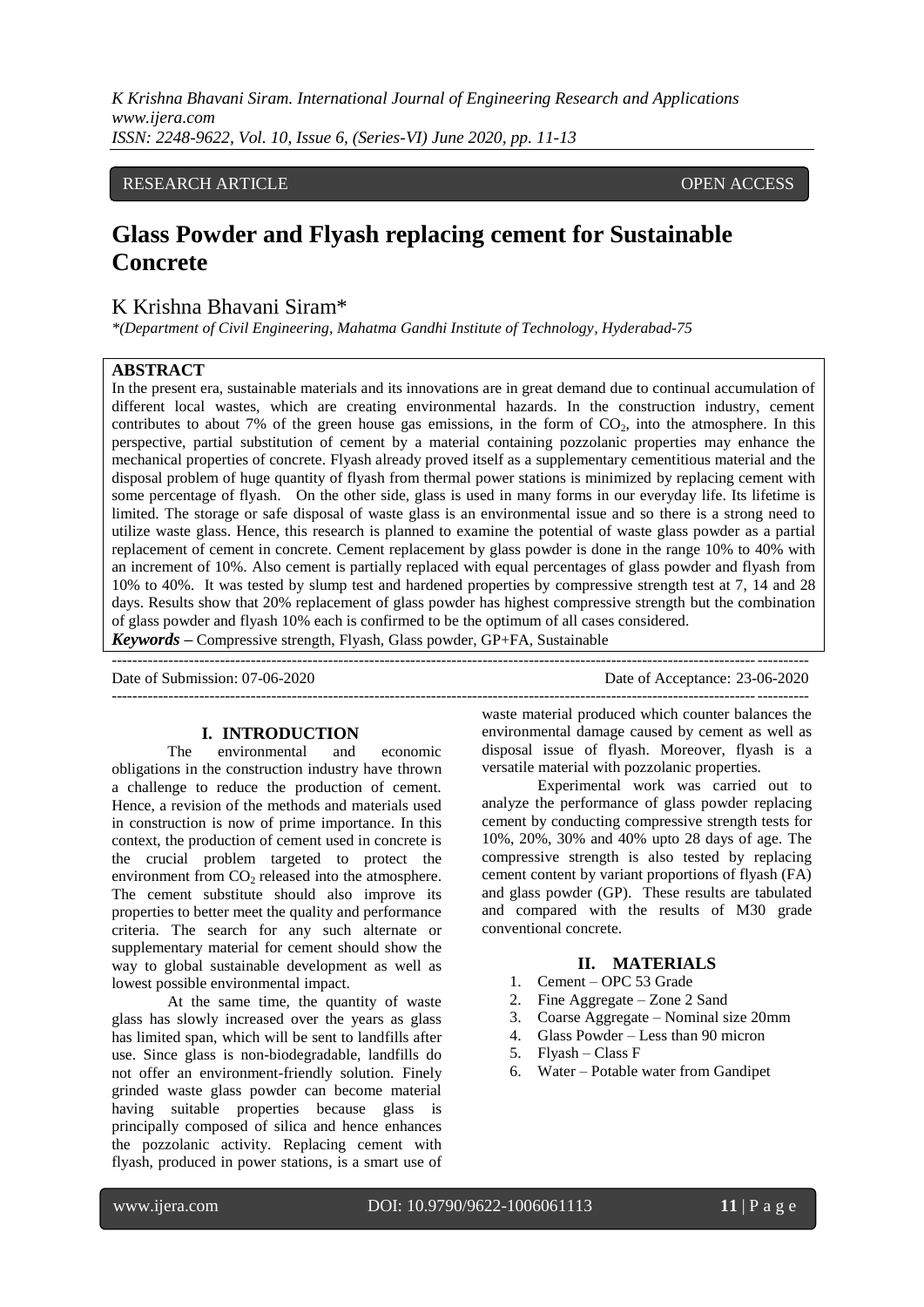*K Krishna Bhavani Siram. International Journal of Engineering Research and Applications www.ijera.com ISSN: 2248-9622, Vol. 10, Issue 6, (Series-VI) June 2020, pp. 11-13*

### RESEARCH ARTICLE **CONSERVERS** OPEN ACCESS

## **Glass Powder and Flyash replacing cement for Sustainable Concrete**

## K Krishna Bhavani Siram\*

*\*(Department of Civil Engineering, Mahatma Gandhi Institute of Technology, Hyderabad-75*

#### **ABSTRACT**

In the present era, sustainable materials and its innovations are in great demand due to continual accumulation of different local wastes, which are creating environmental hazards. In the construction industry, cement contributes to about 7% of the green house gas emissions, in the form of  $CO<sub>2</sub>$ , into the atmosphere. In this perspective, partial substitution of cement by a material containing pozzolanic properties may enhance the mechanical properties of concrete. Flyash already proved itself as a supplementary cementitious material and the disposal problem of huge quantity of flyash from thermal power stations is minimized by replacing cement with some percentage of flyash. On the other side, glass is used in many forms in our everyday life. Its lifetime is limited. The storage or safe disposal of waste glass is an environmental issue and so there is a strong need to utilize waste glass. Hence, this research is planned to examine the potential of waste glass powder as a partial replacement of cement in concrete. Cement replacement by glass powder is done in the range 10% to 40% with an increment of 10%. Also cement is partially replaced with equal percentages of glass powder and flyash from 10% to 40%. It was tested by slump test and hardened properties by compressive strength test at 7, 14 and 28 days. Results show that 20% replacement of glass powder has highest compressive strength but the combination of glass powder and flyash 10% each is confirmed to be the optimum of all cases considered.

*Keywords* **–** Compressive strength, Flyash, Glass powder, GP+FA, Sustainable

| Date of Submission: 07-06-2020 | Date of Acceptance: 23-06-2020 |
|--------------------------------|--------------------------------|
|                                |                                |

#### **I. INTRODUCTION**

The environmental and economic obligations in the construction industry have thrown a challenge to reduce the production of cement. Hence, a revision of the methods and materials used in construction is now of prime importance. In this context, the production of cement used in concrete is the crucial problem targeted to protect the environment from  $CO<sub>2</sub>$  released into the atmosphere. The cement substitute should also improve its properties to better meet the quality and performance criteria. The search for any such alternate or supplementary material for cement should show the way to global sustainable development as well as lowest possible environmental impact.

At the same time, the quantity of waste glass has slowly increased over the years as glass has limited span, which will be sent to landfills after use. Since glass is non-biodegradable, landfills do not offer an environment-friendly solution. Finely grinded waste glass powder can become material having suitable properties because glass is principally composed of silica and hence enhances the pozzolanic activity. Replacing cement with flyash, produced in power stations, is a smart use of waste material produced which counter balances the environmental damage caused by cement as well as disposal issue of flyash. Moreover, flyash is a versatile material with pozzolanic properties.

Experimental work was carried out to analyze the performance of glass powder replacing cement by conducting compressive strength tests for 10%, 20%, 30% and 40% upto 28 days of age. The compressive strength is also tested by replacing cement content by variant proportions of flyash (FA) and glass powder (GP). These results are tabulated and compared with the results of M30 grade conventional concrete.

#### **II. MATERIALS**

- 1. Cement OPC 53 Grade
- 2. Fine Aggregate Zone 2 Sand
- 3. Coarse Aggregate Nominal size 20mm
- 4. Glass Powder Less than 90 micron
- 5. Flyash Class F
- 6. Water Potable water from Gandipet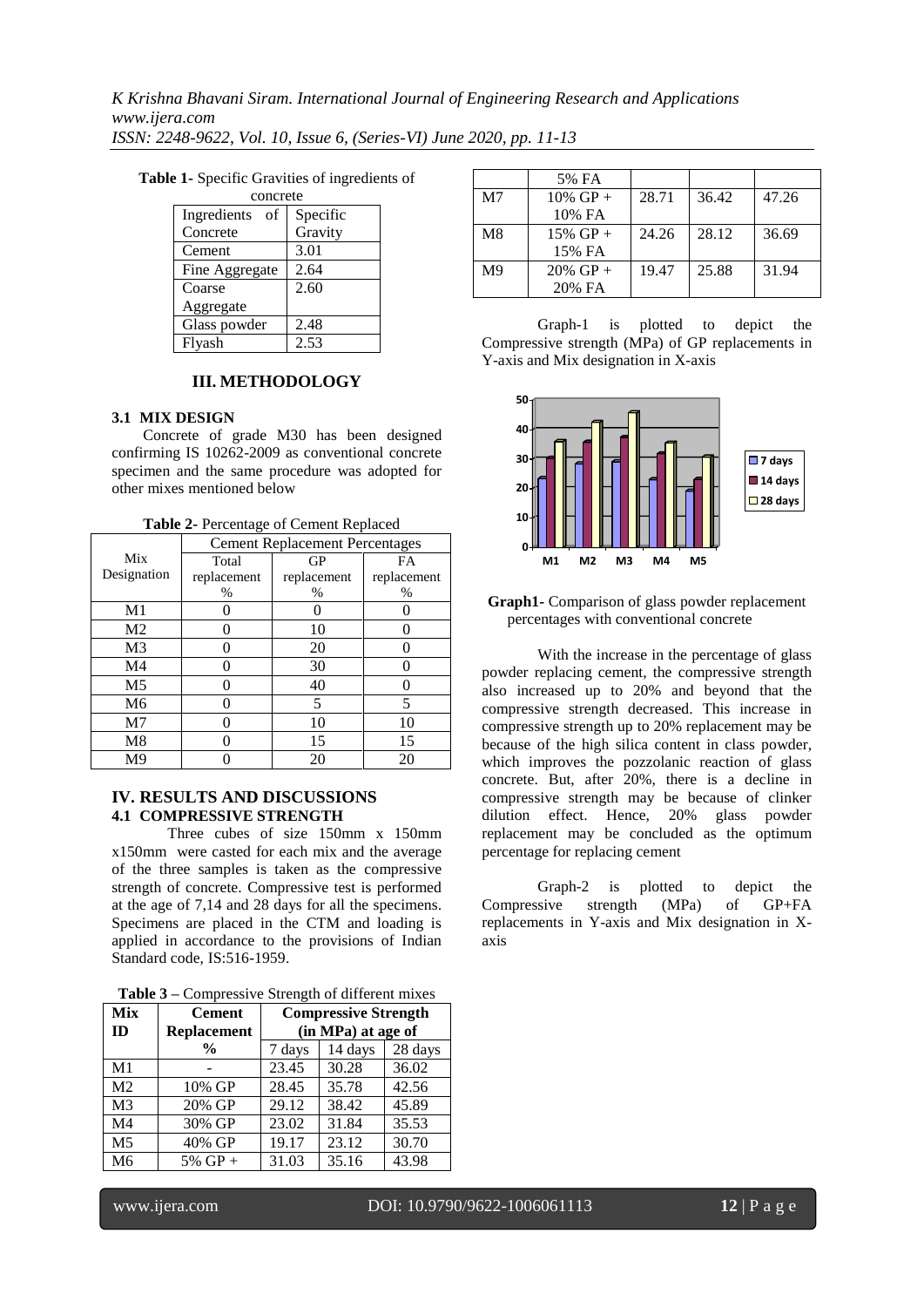*K Krishna Bhavani Siram. International Journal of Engineering Research and Applications www.ijera.com ISSN: 2248-9622, Vol. 10, Issue 6, (Series-VI) June 2020, pp. 11-13*

| concrete          |          |  |  |
|-------------------|----------|--|--|
| of<br>Ingredients | Specific |  |  |
| Concrete          | Gravity  |  |  |
| Cement            | 3.01     |  |  |
| Fine Aggregate    | 2.64     |  |  |
| Coarse            | 2.60     |  |  |
| Aggregate         |          |  |  |
| Glass powder      | 2.48     |  |  |
| Flyash            | 2.53     |  |  |

**Table 1-** Specific Gravities of ingredients of

### **III. METHODOLOGY**

#### **3.1 MIX DESIGN**

Concrete of grade M30 has been designed confirming IS 10262-2009 as conventional concrete specimen and the same procedure was adopted for other mixes mentioned below

| Table 2- Percentage of Cement Replaced |  |
|----------------------------------------|--|
|----------------------------------------|--|

|                | <b>Cement Replacement Percentages</b> |             |             |  |
|----------------|---------------------------------------|-------------|-------------|--|
| Mix            | Total                                 | GP          | FA          |  |
| Designation    | replacement                           | replacement | replacement |  |
|                | %                                     | $\%$        | $\%$        |  |
| M1             |                                       |             |             |  |
| M <sub>2</sub> |                                       | 10          |             |  |
| M <sub>3</sub> |                                       | 20          |             |  |
| M <sub>4</sub> |                                       | 30          |             |  |
| M <sub>5</sub> |                                       | 40          |             |  |
| M6             |                                       | 5           | 5           |  |
| M <sub>7</sub> |                                       | 10          | 10          |  |
| M8             |                                       | 15          | 15          |  |
| M <sup>9</sup> |                                       | 20          |             |  |

#### **IV. RESULTS AND DISCUSSIONS 4.1 COMPRESSIVE STRENGTH**

Three cubes of size 150mm x 150mm x150mm were casted for each mix and the average of the three samples is taken as the compressive strength of concrete. Compressive test is performed at the age of 7,14 and 28 days for all the specimens. Specimens are placed in the CTM and loading is applied in accordance to the provisions of Indian Standard code, IS:516-1959.

|  |  | <b>Table 3 – Compressive Strength of different mixes</b> |  |
|--|--|----------------------------------------------------------|--|
|  |  |                                                          |  |

| <b>rapic</b> $\sigma$ – compressive buttigut of uniterent mixes |                    |                             |         |         |  |
|-----------------------------------------------------------------|--------------------|-----------------------------|---------|---------|--|
| <b>Mix</b>                                                      | <b>Cement</b>      | <b>Compressive Strength</b> |         |         |  |
| ID                                                              | <b>Replacement</b> | (in MPa) at age of          |         |         |  |
|                                                                 | $\frac{6}{9}$      | 7 days                      | 14 days | 28 days |  |
| M1                                                              |                    | 23.45                       | 30.28   | 36.02   |  |
| M <sub>2</sub>                                                  | 10% GP             | 28.45                       | 35.78   | 42.56   |  |
| M <sub>3</sub>                                                  | 20% GP             | $\overline{29.12}$          | 38.42   | 45.89   |  |
| M <sub>4</sub>                                                  | 30% GP             | 23.02                       | 31.84   | 35.53   |  |
| M <sub>5</sub>                                                  | 40% GP             | 19.17                       | 23.12   | 30.70   |  |
| M <sub>6</sub>                                                  | $5\%$ GP +         | 31.03                       | 35.16   | 43.98   |  |

|                | 5% FA       |       |       |       |
|----------------|-------------|-------|-------|-------|
| M <sub>7</sub> | $10\%$ GP + | 28.71 | 36.42 | 47.26 |
|                | 10% FA      |       |       |       |
| M8             | $15\%$ GP + | 24.26 | 28.12 | 36.69 |
|                | 15% FA      |       |       |       |
| M9             | $20\%$ GP + | 19.47 | 25.88 | 31.94 |
|                | 20% FA      |       |       |       |

Graph-1 is plotted to depict the Compressive strength (MPa) of GP replacements in Y-axis and Mix designation in X-axis



#### **Graph1-** Comparison of glass powder replacement percentages with conventional concrete

With the increase in the percentage of glass powder replacing cement, the compressive strength also increased up to 20% and beyond that the compressive strength decreased. This increase in compressive strength up to 20% replacement may be because of the high silica content in class powder, which improves the pozzolanic reaction of glass concrete. But, after 20%, there is a decline in compressive strength may be because of clinker dilution effect. Hence, 20% glass powder replacement may be concluded as the optimum percentage for replacing cement

Graph-2 is plotted to depict the Compressive strength (MPa) of GP+FA replacements in Y-axis and Mix designation in Xaxis